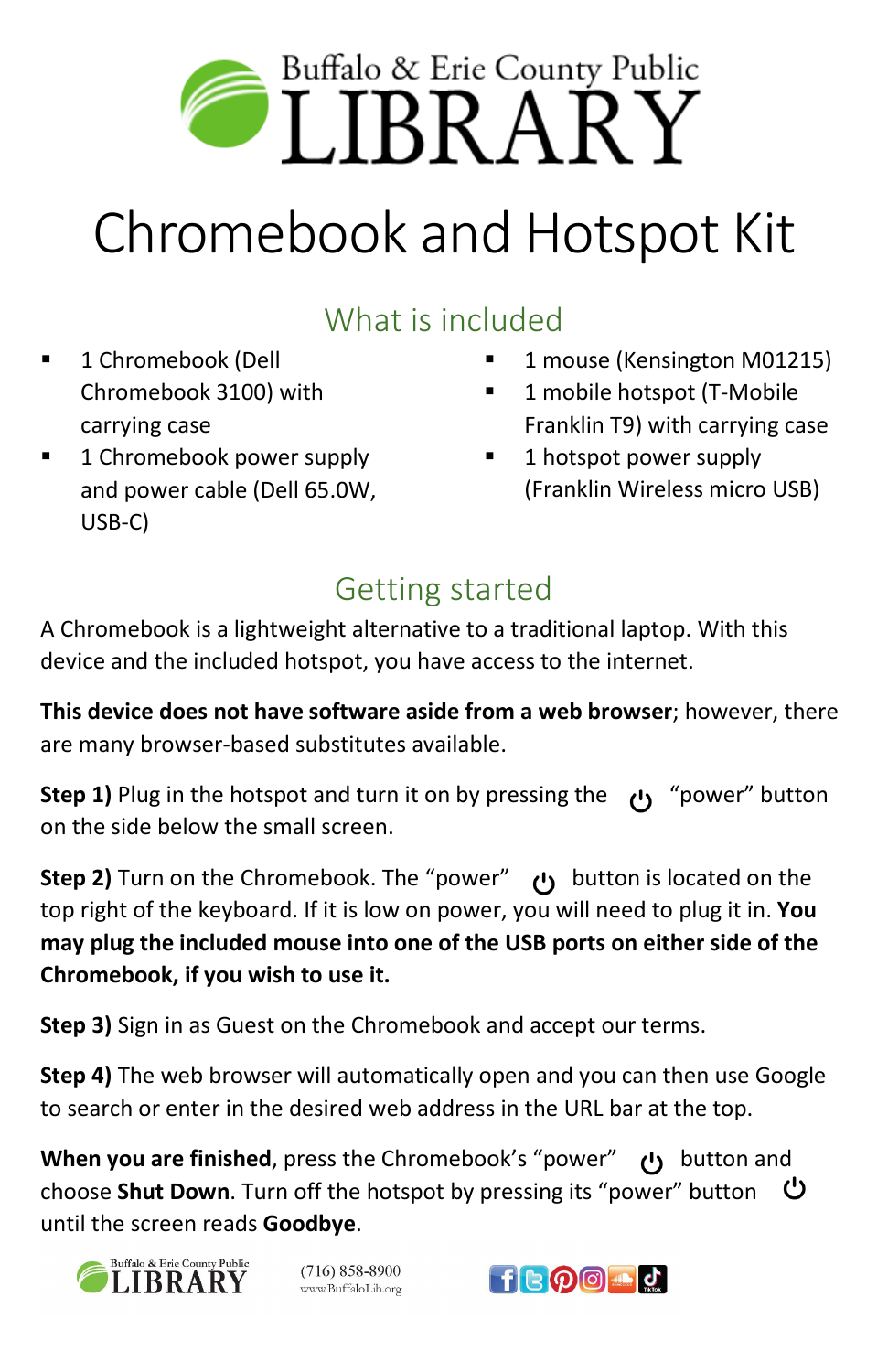

# Chromebook and Hotspot Kit

## What is included

- **1** Chromebook (Dell Chromebook 3100) with carrying case
- 1 Chromebook power supply and power cable (Dell 65.0W, USB-C)
- 1 mouse (Kensington M01215)
- 1 mobile hotspot (T-Mobile Franklin T9) with carrying case
- 1 hotspot power supply (Franklin Wireless micro USB)

## Getting started

A Chromebook is a lightweight alternative to a traditional laptop. With this device and the included hotspot, you have access to the internet.

**This device does not have software aside from a web browser**; however, there are many browser-based substitutes available.

**Step 1)** Plug in the hotspot and turn it on by pressing the  $\left| \cdot \right|$  "power" button on the side below the small screen.

**Step 2)** Turn on the Chromebook. The "power" **(1)** button is located on the top right of the keyboard. If it is low on power, you will need to plug it in. **You may plug the included mouse into one of the USB ports on either side of the Chromebook, if you wish to use it.**

**Step 3)** Sign in as Guest on the Chromebook and accept our terms.

**Step 4)** The web browser will automatically open and you can then use Google to search or enter in the desired web address in the URL bar at the top.

**When you are finished**, press the Chromebook's "power" button and choose **Shut Down**. Turn off the hotspot by pressing its "power" button until the screen reads **Goodbye**.



 $(716) 858 - 8900$ www.BuffaloLib.org

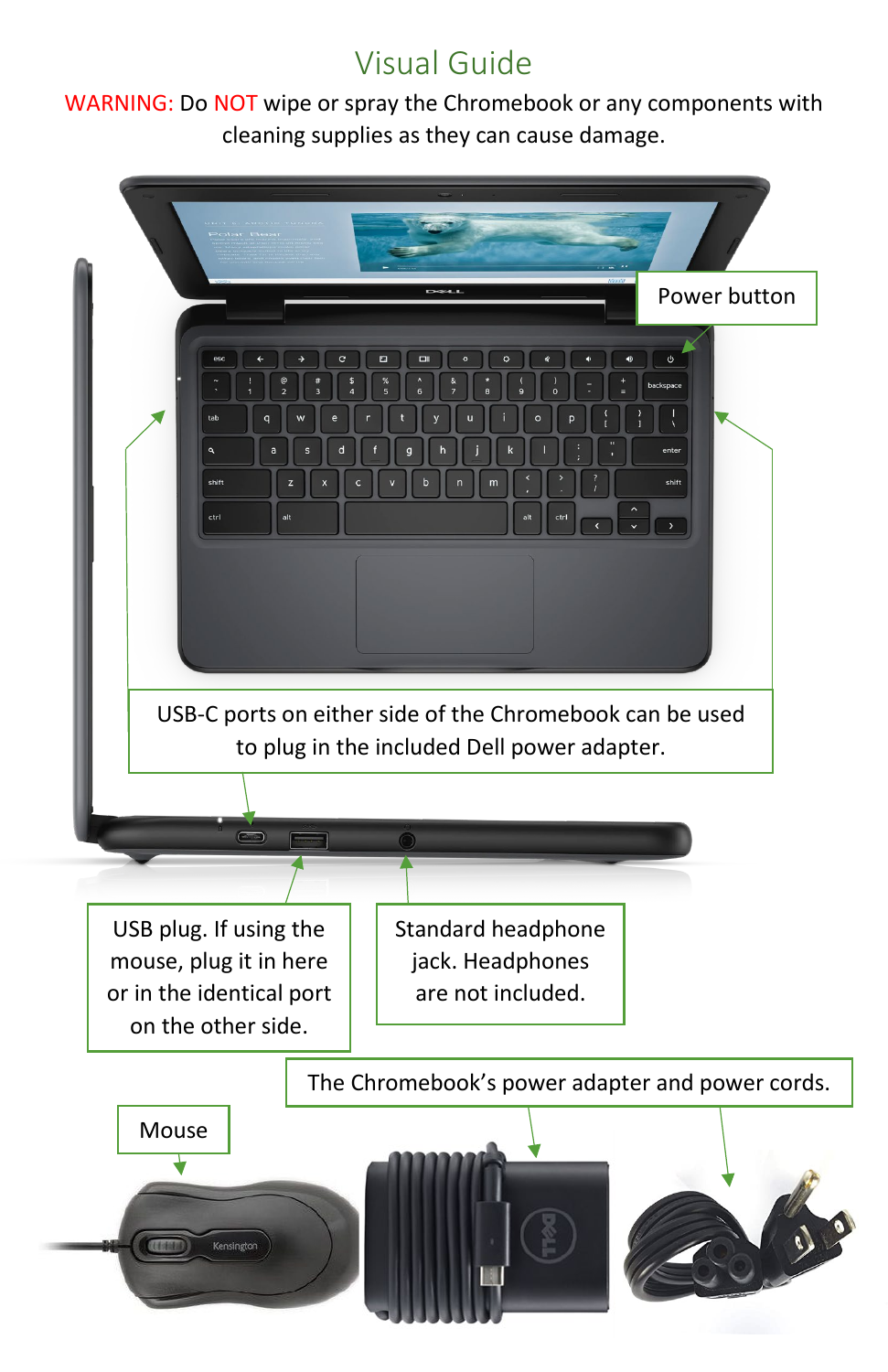## Visual Guide

WARNING: Do NOT wipe or spray the Chromebook or any components with cleaning supplies as they can cause damage.

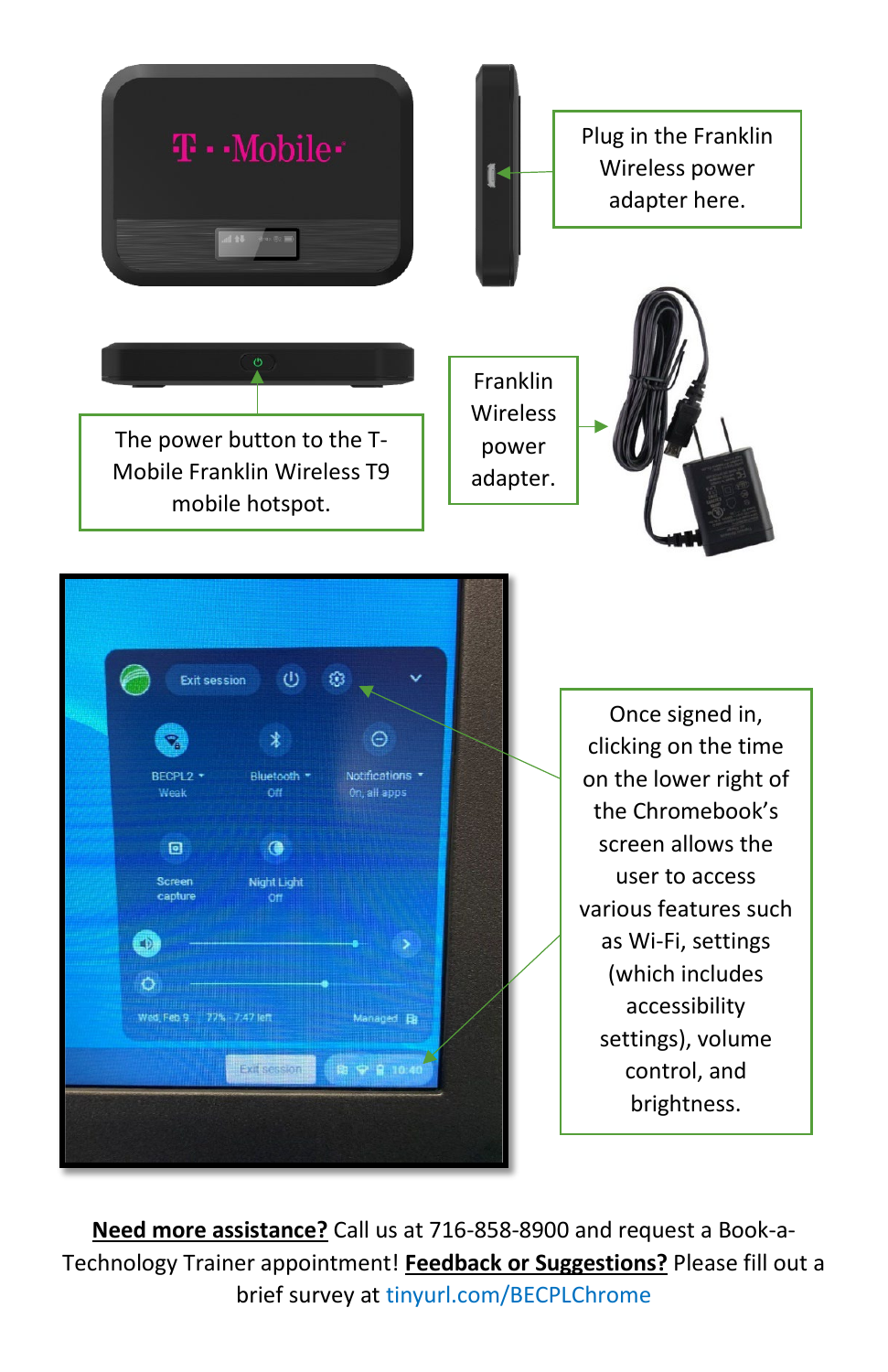

**Need more assistance?** Call us at 716-858-8900 and request a Book-a-Technology Trainer appointment! **Feedback or Suggestions?** Please fill out a brief survey at tinyurl.com/BECPLChrome